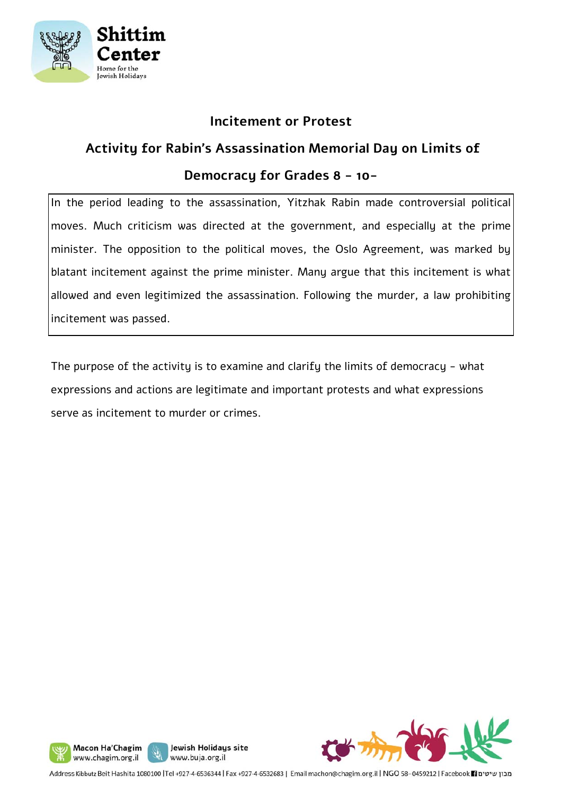

#### **Incitement or Protest**

### **Activity for Rabin's Assassination Memorial Day on Limits of**

#### **Democracy for Grades 8 - 10-**

In the period leading to the assassination, Yitzhak Rabin made controversial political moves. Much criticism was directed at the government, and especially at the prime minister. The opposition to the political moves, the Oslo Agreement, was marked by blatant incitement against the prime minister. Many argue that this incitement is what allowed and even legitimized the assassination. Following the murder, a law prohibiting incitement was passed.

The purpose of the activity is to examine and clarify the limits of democracy - what expressions and actions are legitimate and important protests and what expressions serve as incitement to murder or crimes.







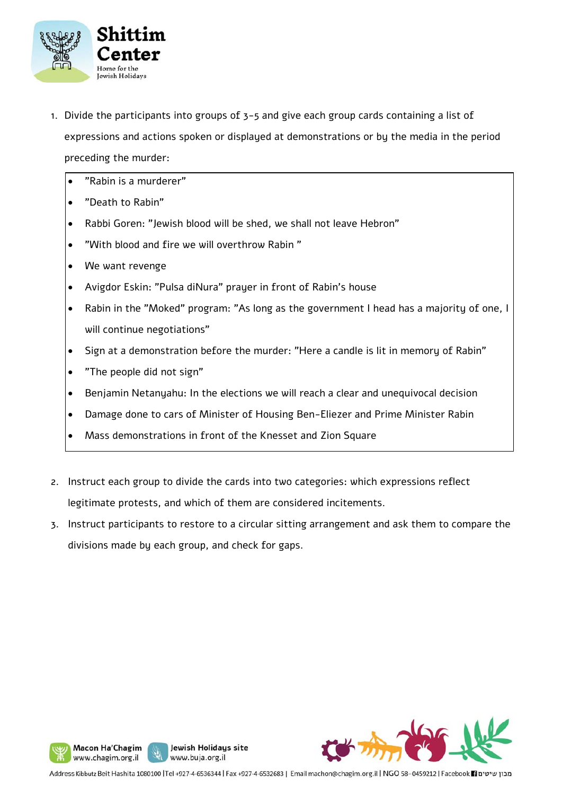

- 1. Divide the participants into groups of 3-5 and give each group cards containing a list of expressions and actions spoken or displayed at demonstrations or by the media in the period preceding the murder:
	- "Rabin is a murderer"
	- "Death to Rabin"
	- Rabbi Goren: "Jewish blood will be shed, we shall not leave Hebron"
	- "With blood and fire we will overthrow Rabin "
	- We want revenge
	- Avigdor Eskin: "Pulsa diNura" prayer in front of Rabin's house
	- Rabin in the "Moked" program: "As long as the government I head has a majority of one, I will continue negotiations"
	- Sign at a demonstration before the murder: "Here a candle is lit in memory of Rabin"
	- "The people did not sign"
	- Benjamin Netanyahu: In the elections we will reach a clear and unequivocal decision
	- Damage done to cars of Minister of Housing Ben-Eliezer and Prime Minister Rabin
	- Mass demonstrations in front of the Knesset and Zion Square
- 2. Instruct each group to divide the cards into two categories: which expressions reflect legitimate protests, and which of them are considered incitements.
- 3. Instruct participants to restore to a circular sitting arrangement and ask them to compare the divisions made by each group, and check for gaps.



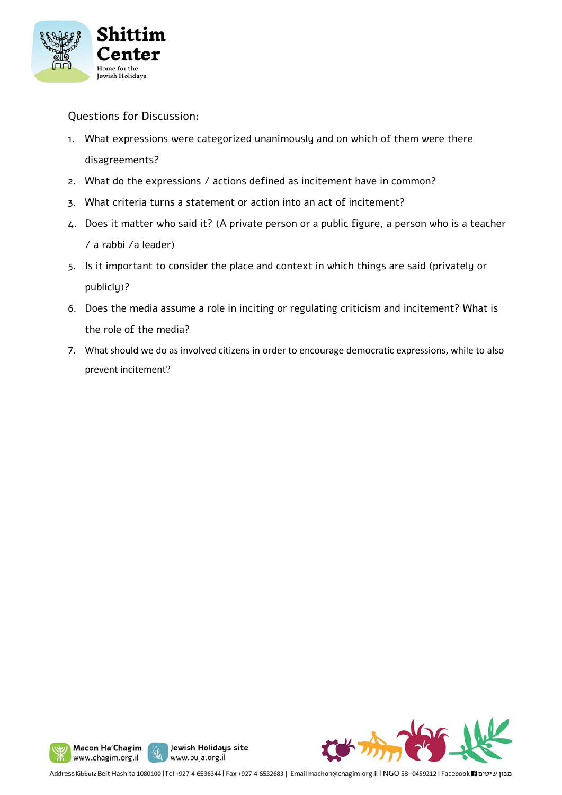

Questions for Discussion:

- 1. What expressions were categorized unanimously and on which of them were there disagreements?
- 2. What do the expressions / actions defined as incitement have in common?
- 3. What criteria turns a statement or action into an act of incitement?
- 4. Does it matter who said it? (A private person or a public figure, a person who is a teacher / a rabbi /a leader)
- 5. Is it important to consider the place and context in which things are said (privately or publicly)?
- 6. Does the media assume a role in inciting or regulating criticism and incitement? What is the role of the media?
- 7. What should we do as involved citizens in order to encourage democratic expressions, while to also prevent incitement?







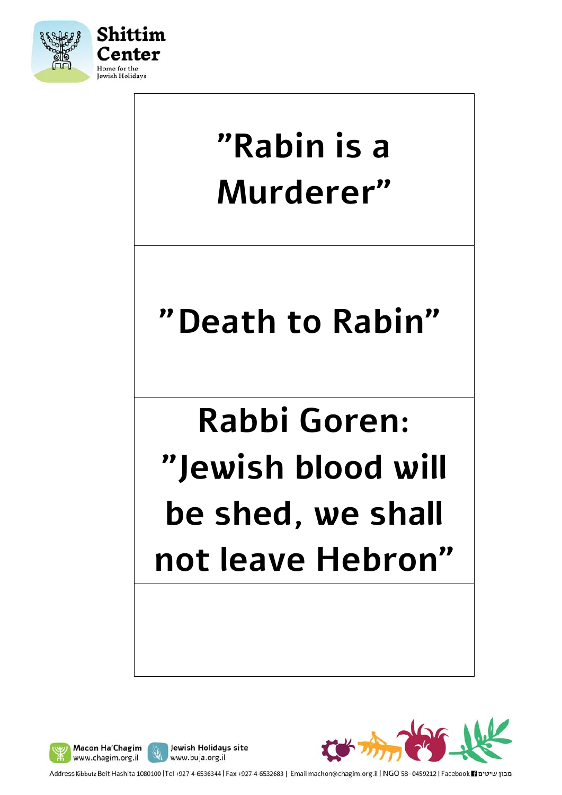







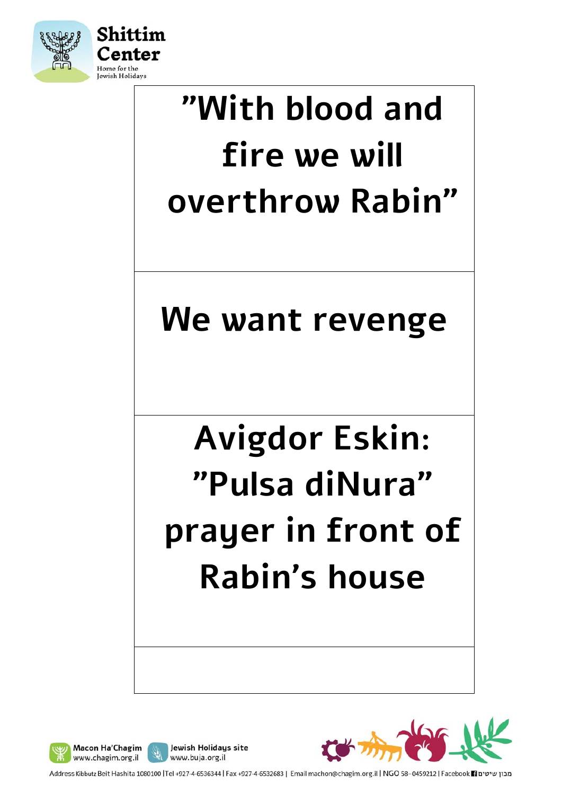

# **"With blood and fire we will overthrow Rabin"**

### **We want revenge**

# **Avigdor Eskin: "Pulsa diNura" prayer in front of Rabin's house**







מכון שיטים Facebook 1 ו-1392 Nddress Kibbutz Beit Hashita 1080100 |Tel +927-4-6536344 | Fax +927-4-6532683 | Email machon@chagim.org.il | NGO 58-0459212 | Facebook 1 מכון שיטים

Jewish Holidays site

www.buja.org.il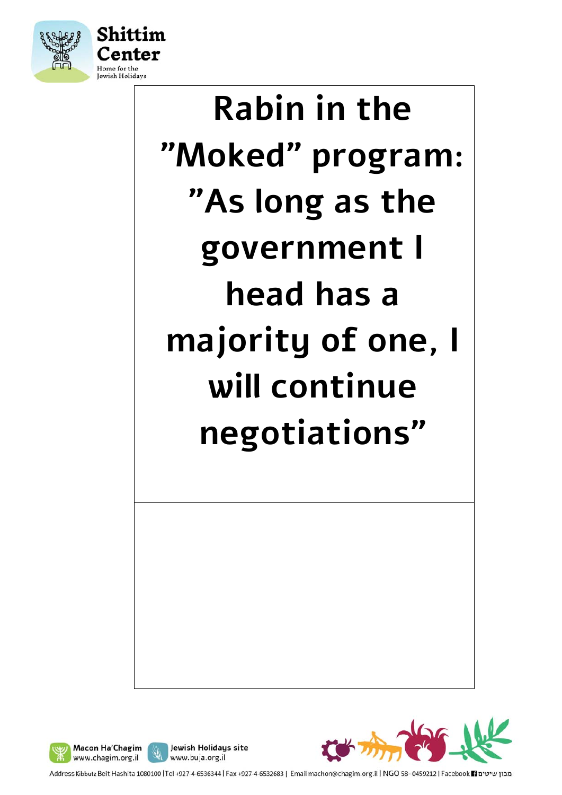

# **Rabin in the "Moked" program: "As long as the government I head has a majority of one, I will continue negotiations"**





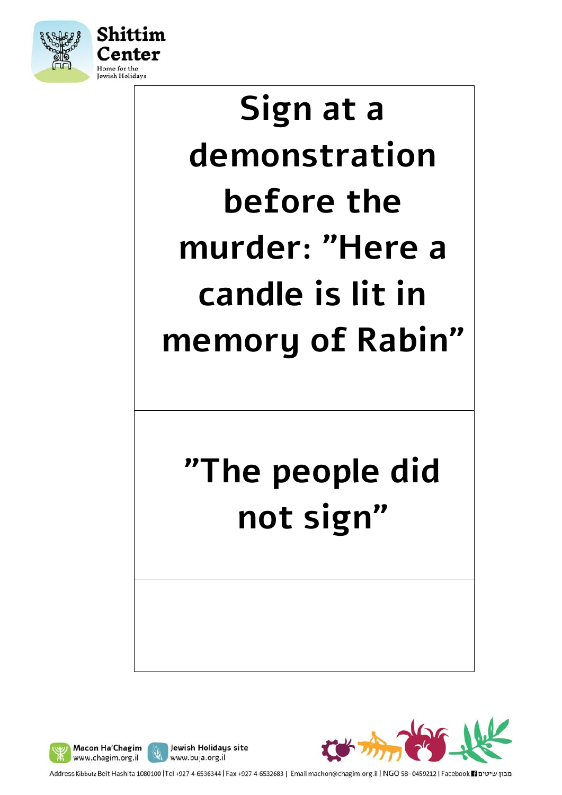

# **Sign at a demonstration before the murder: "Here a candle is lit in memory of Rabin"**

### **"The people did not sign"**







Address Kibbutz Beit Hashita 1080100 |Tel +927-4-6536344 | Fax +927-4-6532683 | Email machon@chagim.org.il | NGO 58-0459212 | Facebook 1 מכון שיטים

Jewish Holidays site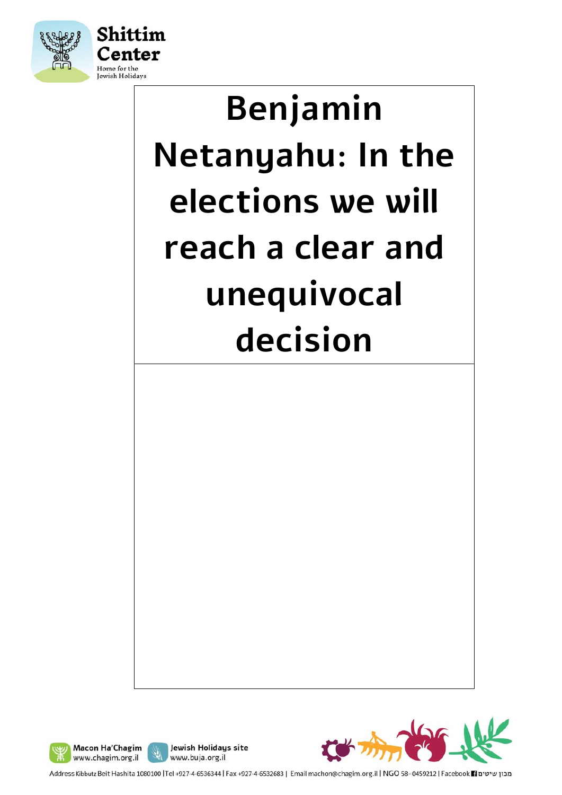

# **Benjamin Netanyahu: In the elections we will reach a clear and unequivocal decision**